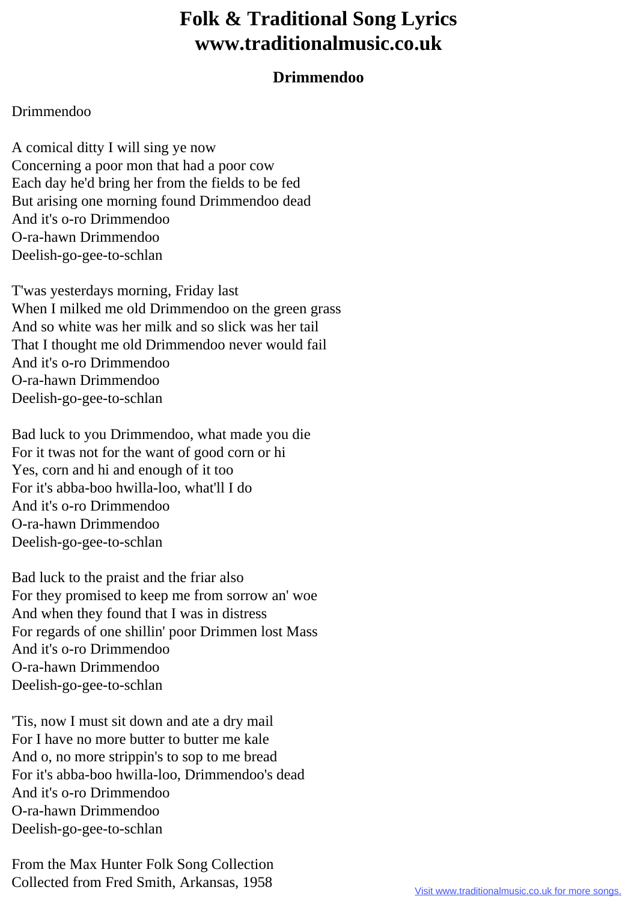## **Folk & Traditional Song Lyrics www.traditionalmusic.co.uk**

## **Drimmendoo**

## Drimmendoo

A comical ditty I will sing ye now Concerning a poor mon that had a poor cow Each day he'd bring her from the fields to be fed But arising one morning found Drimmendoo dead And it's o-ro Drimmendoo O-ra-hawn Drimmendoo Deelish-go-gee-to-schlan

T'was yesterdays morning, Friday last When I milked me old Drimmendoo on the green grass And so white was her milk and so slick was her tail That I thought me old Drimmendoo never would fail And it's o-ro Drimmendoo O-ra-hawn Drimmendoo Deelish-go-gee-to-schlan

Bad luck to you Drimmendoo, what made you die For it twas not for the want of good corn or hi Yes, corn and hi and enough of it too For it's abba-boo hwilla-loo, what'll I do And it's o-ro Drimmendoo O-ra-hawn Drimmendoo Deelish-go-gee-to-schlan

Bad luck to the praist and the friar also For they promised to keep me from sorrow an' woe And when they found that I was in distress For regards of one shillin' poor Drimmen lost Mass And it's o-ro Drimmendoo O-ra-hawn Drimmendoo Deelish-go-gee-to-schlan

'Tis, now I must sit down and ate a dry mail For I have no more butter to butter me kale And o, no more strippin's to sop to me bread For it's abba-boo hwilla-loo, Drimmendoo's dead And it's o-ro Drimmendoo O-ra-hawn Drimmendoo Deelish-go-gee-to-schlan

From the Max Hunter Folk Song Collection Collected from Fred Smith, Arkansas, 1958